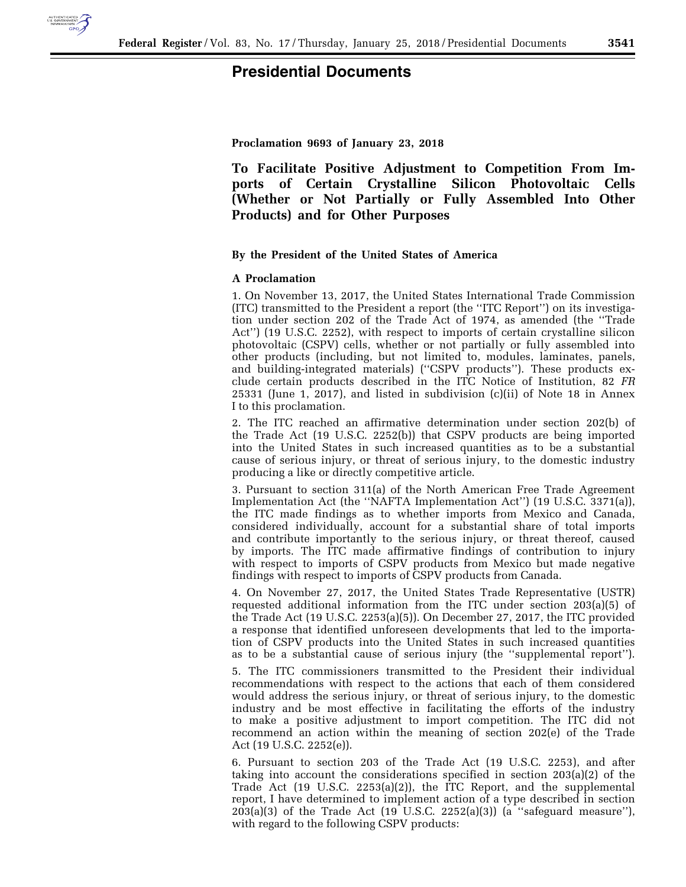

# **Presidential Documents**

**Proclamation 9693 of January 23, 2018** 

**To Facilitate Positive Adjustment to Competition From Imports of Certain Crystalline Silicon Photovoltaic Cells (Whether or Not Partially or Fully Assembled Into Other Products) and for Other Purposes** 

#### **By the President of the United States of America**

## **A Proclamation**

1. On November 13, 2017, the United States International Trade Commission (ITC) transmitted to the President a report (the ''ITC Report'') on its investigation under section 202 of the Trade Act of 1974, as amended (the ''Trade Act'') (19 U.S.C. 2252), with respect to imports of certain crystalline silicon photovoltaic (CSPV) cells, whether or not partially or fully assembled into other products (including, but not limited to, modules, laminates, panels, and building-integrated materials) (''CSPV products''). These products exclude certain products described in the ITC Notice of Institution, 82 *FR*  25331 (June 1, 2017), and listed in subdivision (c)(ii) of Note 18 in Annex I to this proclamation.

2. The ITC reached an affirmative determination under section 202(b) of the Trade Act (19 U.S.C. 2252(b)) that CSPV products are being imported into the United States in such increased quantities as to be a substantial cause of serious injury, or threat of serious injury, to the domestic industry producing a like or directly competitive article.

3. Pursuant to section 311(a) of the North American Free Trade Agreement Implementation Act (the ''NAFTA Implementation Act'') (19 U.S.C. 3371(a)), the ITC made findings as to whether imports from Mexico and Canada, considered individually, account for a substantial share of total imports and contribute importantly to the serious injury, or threat thereof, caused by imports. The ITC made affirmative findings of contribution to injury with respect to imports of CSPV products from Mexico but made negative findings with respect to imports of CSPV products from Canada.

4. On November 27, 2017, the United States Trade Representative (USTR) requested additional information from the ITC under section 203(a)(5) of the Trade Act (19 U.S.C. 2253(a)(5)). On December 27, 2017, the ITC provided a response that identified unforeseen developments that led to the importation of CSPV products into the United States in such increased quantities as to be a substantial cause of serious injury (the ''supplemental report'').

5. The ITC commissioners transmitted to the President their individual recommendations with respect to the actions that each of them considered would address the serious injury, or threat of serious injury, to the domestic industry and be most effective in facilitating the efforts of the industry to make a positive adjustment to import competition. The ITC did not recommend an action within the meaning of section 202(e) of the Trade Act (19 U.S.C. 2252(e)).

6. Pursuant to section 203 of the Trade Act (19 U.S.C. 2253), and after taking into account the considerations specified in section 203(a)(2) of the Trade Act (19 U.S.C. 2253(a)(2)), the ITC Report, and the supplemental report, I have determined to implement action of a type described in section  $203(a)(3)$  of the Trade Act (19 U.S.C.  $2252(a)(3)$ ) (a "safeguard measure"), with regard to the following CSPV products: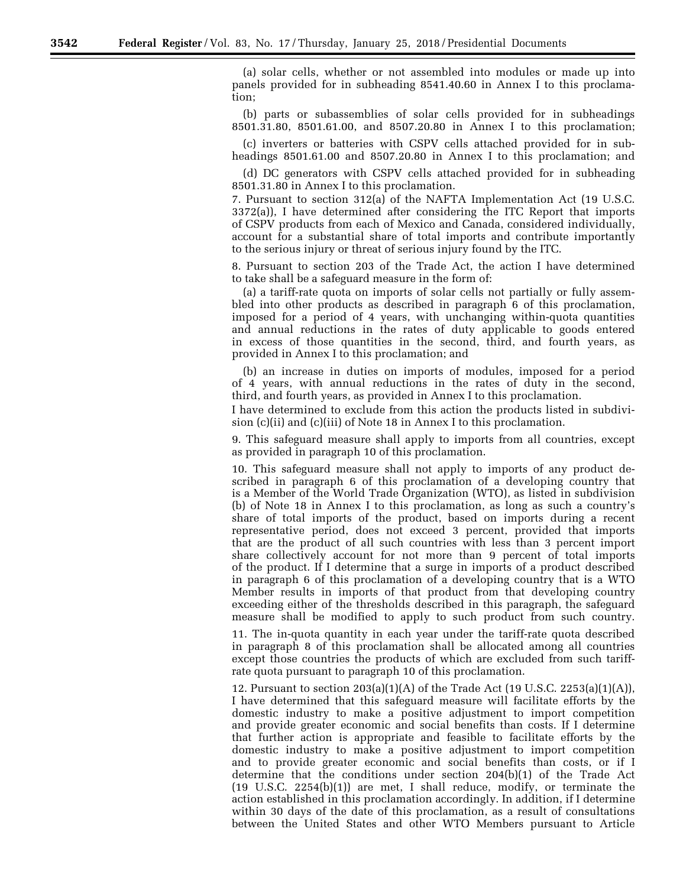(a) solar cells, whether or not assembled into modules or made up into panels provided for in subheading 8541.40.60 in Annex I to this proclamation;

(b) parts or subassemblies of solar cells provided for in subheadings 8501.31.80, 8501.61.00, and 8507.20.80 in Annex I to this proclamation;

(c) inverters or batteries with CSPV cells attached provided for in subheadings 8501.61.00 and 8507.20.80 in Annex I to this proclamation; and

(d) DC generators with CSPV cells attached provided for in subheading 8501.31.80 in Annex I to this proclamation.

7. Pursuant to section 312(a) of the NAFTA Implementation Act (19 U.S.C. 3372(a)), I have determined after considering the ITC Report that imports of CSPV products from each of Mexico and Canada, considered individually, account for a substantial share of total imports and contribute importantly to the serious injury or threat of serious injury found by the ITC.

8. Pursuant to section 203 of the Trade Act, the action I have determined to take shall be a safeguard measure in the form of:

(a) a tariff-rate quota on imports of solar cells not partially or fully assembled into other products as described in paragraph 6 of this proclamation, imposed for a period of 4 years, with unchanging within-quota quantities and annual reductions in the rates of duty applicable to goods entered in excess of those quantities in the second, third, and fourth years, as provided in Annex I to this proclamation; and

(b) an increase in duties on imports of modules, imposed for a period of 4 years, with annual reductions in the rates of duty in the second, third, and fourth years, as provided in Annex I to this proclamation.

I have determined to exclude from this action the products listed in subdivision (c)(ii) and (c)(iii) of Note 18 in Annex I to this proclamation.

9. This safeguard measure shall apply to imports from all countries, except as provided in paragraph 10 of this proclamation.

10. This safeguard measure shall not apply to imports of any product described in paragraph 6 of this proclamation of a developing country that is a Member of the World Trade Organization (WTO), as listed in subdivision (b) of Note 18 in Annex I to this proclamation, as long as such a country's share of total imports of the product, based on imports during a recent representative period, does not exceed 3 percent, provided that imports that are the product of all such countries with less than 3 percent import share collectively account for not more than 9 percent of total imports of the product. If I determine that a surge in imports of a product described in paragraph 6 of this proclamation of a developing country that is a WTO Member results in imports of that product from that developing country exceeding either of the thresholds described in this paragraph, the safeguard measure shall be modified to apply to such product from such country.

11. The in-quota quantity in each year under the tariff-rate quota described in paragraph 8 of this proclamation shall be allocated among all countries except those countries the products of which are excluded from such tariffrate quota pursuant to paragraph 10 of this proclamation.

12. Pursuant to section  $203(a)(1)(A)$  of the Trade Act (19 U.S.C. 2253(a)(1)(A)), I have determined that this safeguard measure will facilitate efforts by the domestic industry to make a positive adjustment to import competition and provide greater economic and social benefits than costs. If I determine that further action is appropriate and feasible to facilitate efforts by the domestic industry to make a positive adjustment to import competition and to provide greater economic and social benefits than costs, or if I determine that the conditions under section 204(b)(1) of the Trade Act (19 U.S.C. 2254(b)(1)) are met, I shall reduce, modify, or terminate the action established in this proclamation accordingly. In addition, if I determine within 30 days of the date of this proclamation, as a result of consultations between the United States and other WTO Members pursuant to Article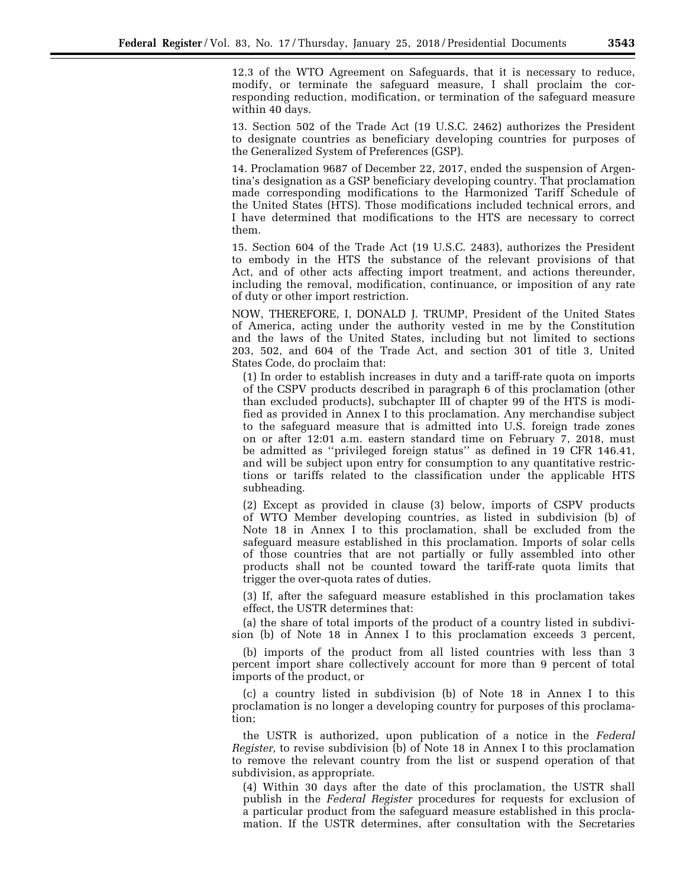12.3 of the WTO Agreement on Safeguards, that it is necessary to reduce, modify, or terminate the safeguard measure, I shall proclaim the corresponding reduction, modification, or termination of the safeguard measure within 40 days.

13. Section 502 of the Trade Act (19 U.S.C. 2462) authorizes the President to designate countries as beneficiary developing countries for purposes of the Generalized System of Preferences (GSP).

14. Proclamation 9687 of December 22, 2017, ended the suspension of Argentina's designation as a GSP beneficiary developing country. That proclamation made corresponding modifications to the Harmonized Tariff Schedule of the United States (HTS). Those modifications included technical errors, and I have determined that modifications to the HTS are necessary to correct them.

15. Section 604 of the Trade Act (19 U.S.C. 2483), authorizes the President to embody in the HTS the substance of the relevant provisions of that Act, and of other acts affecting import treatment, and actions thereunder, including the removal, modification, continuance, or imposition of any rate of duty or other import restriction.

NOW, THEREFORE, I, DONALD J. TRUMP, President of the United States of America, acting under the authority vested in me by the Constitution and the laws of the United States, including but not limited to sections 203, 502, and 604 of the Trade Act, and section 301 of title 3, United States Code, do proclaim that:

(1) In order to establish increases in duty and a tariff-rate quota on imports of the CSPV products described in paragraph 6 of this proclamation (other than excluded products), subchapter III of chapter 99 of the HTS is modified as provided in Annex I to this proclamation. Any merchandise subject to the safeguard measure that is admitted into U.S. foreign trade zones on or after 12:01 a.m. eastern standard time on February 7, 2018, must be admitted as ''privileged foreign status'' as defined in 19 CFR 146.41, and will be subject upon entry for consumption to any quantitative restrictions or tariffs related to the classification under the applicable HTS subheading.

(2) Except as provided in clause (3) below, imports of CSPV products of WTO Member developing countries, as listed in subdivision (b) of Note 18 in Annex I to this proclamation, shall be excluded from the safeguard measure established in this proclamation. Imports of solar cells of those countries that are not partially or fully assembled into other products shall not be counted toward the tariff-rate quota limits that trigger the over-quota rates of duties.

(3) If, after the safeguard measure established in this proclamation takes effect, the USTR determines that:

(a) the share of total imports of the product of a country listed in subdivision (b) of Note 18 in Annex I to this proclamation exceeds 3 percent,

(b) imports of the product from all listed countries with less than 3 percent import share collectively account for more than 9 percent of total imports of the product, or

(c) a country listed in subdivision (b) of Note 18 in Annex I to this proclamation is no longer a developing country for purposes of this proclamation;

the USTR is authorized, upon publication of a notice in the *Federal Register,* to revise subdivision (b) of Note 18 in Annex I to this proclamation to remove the relevant country from the list or suspend operation of that subdivision, as appropriate.

(4) Within 30 days after the date of this proclamation, the USTR shall publish in the *Federal Register* procedures for requests for exclusion of a particular product from the safeguard measure established in this proclamation. If the USTR determines, after consultation with the Secretaries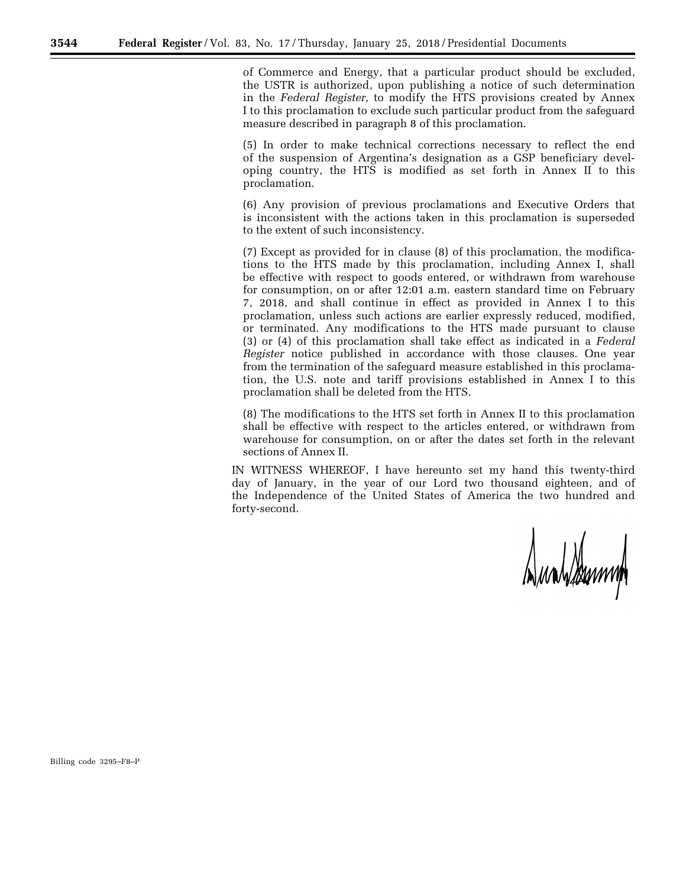of Commerce and Energy, that a particular product should be excluded, the USTR is authorized, upon publishing a notice of such determination in the *Federal Register,* to modify the HTS provisions created by Annex I to this proclamation to exclude such particular product from the safeguard measure described in paragraph 8 of this proclamation.

(5) In order to make technical corrections necessary to reflect the end of the suspension of Argentina's designation as a GSP beneficiary developing country, the HTS is modified as set forth in Annex II to this proclamation.

(6) Any provision of previous proclamations and Executive Orders that is inconsistent with the actions taken in this proclamation is superseded to the extent of such inconsistency.

(7) Except as provided for in clause (8) of this proclamation, the modifications to the HTS made by this proclamation, including Annex I, shall be effective with respect to goods entered, or withdrawn from warehouse for consumption, on or after 12:01 a.m. eastern standard time on February 7, 2018, and shall continue in effect as provided in Annex I to this proclamation, unless such actions are earlier expressly reduced, modified, or terminated. Any modifications to the HTS made pursuant to clause (3) or (4) of this proclamation shall take effect as indicated in a *Federal Register* notice published in accordance with those clauses. One year from the termination of the safeguard measure established in this proclamation, the U.S. note and tariff provisions established in Annex I to this proclamation shall be deleted from the HTS.

(8) The modifications to the HTS set forth in Annex II to this proclamation shall be effective with respect to the articles entered, or withdrawn from warehouse for consumption, on or after the dates set forth in the relevant sections of Annex II.

IN WITNESS WHEREOF, I have hereunto set my hand this twenty-third day of January, in the year of our Lord two thousand eighteen, and of the Independence of the United States of America the two hundred and forty-second.

Dunblemm

Billing code 3295–F8–P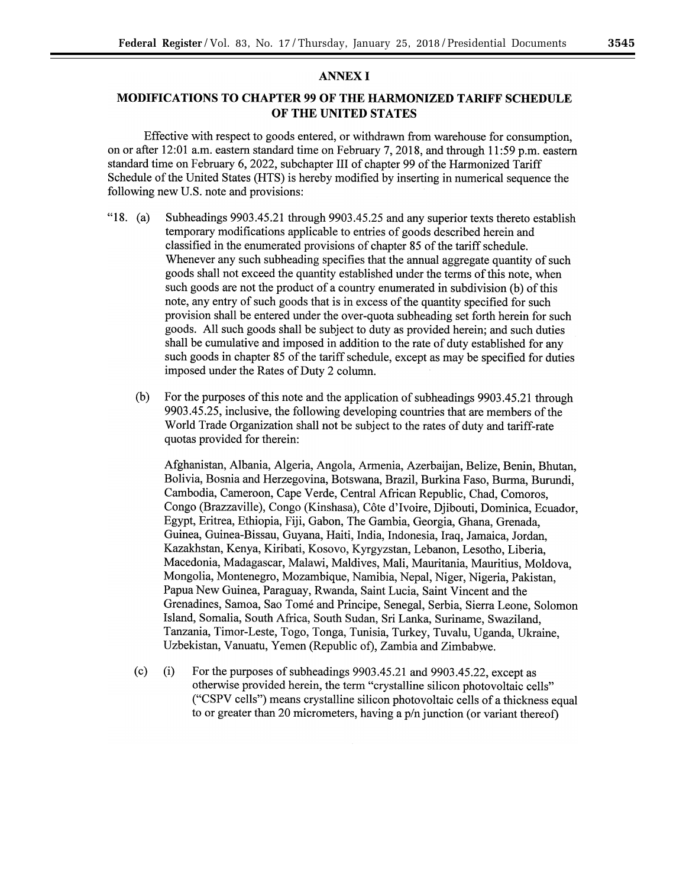## MODIFICATIONS TO CHAPTER 99 OF THE HARMONIZED TARIFF SCHEDULE OF THE UNITED STATES

Effective with respect to goods entered, or withdrawn from warehouse for consumption, on or after 12:01 a.m. eastern standard time on February 7, 2018, and through 11:59 p.m. eastern standard time on February 6, 2022, subchapter III of chapter 99 of the Harmonized Tariff Schedule of the United States (HTS) is hereby modified by inserting in numerical sequence the following new U.S. note and provisions:

- "18. (a) Subheadings 9903.45.21 through 9903.45.25 and any superior texts thereto establish temporary modifications applicable to entries of goods described herein and classified in the enumerated provisions of chapter 85 of the tariff schedule. Whenever any such subheading specifies that the annual aggregate quantity of such goods shall not exceed the quantity established under the terms of this note, when such goods are not the product of a country enumerated in subdivision (b) of this note, any entry of such goods that is in excess of the quantity specified for such provision shall be entered under the over-quota subheading set forth herein for such goods. All such goods shall be subject to duty as provided herein; and such duties shall be cumulative and imposed in addition to the rate of duty established for any such goods in chapter 85 of the tariff schedule, except as may be specified for duties imposed under the Rates of Duty 2 column.
	- (b) For the purposes of this note and the application of subheadings 9903.45.21 through 9903.45.25, inclusive, the following developing countries that are members of the World Trade Organization shall not be subject to the rates of duty and tariff-rate quotas provided for therein:

Afghanistan, Albania, Algeria, Angola, Armenia, Azerbaijan, Belize, Benin, Bhutan, Bolivia, Bosnia and Herzegovina, Botswana, Brazil, Burkina Faso, Burma, Burundi, Cambodia, Cameroon, Cape Verde, Central African Republic, Chad, Comoros, Congo (Brazzaville), Congo (Kinshasa), Cote d'Ivoire, Djibouti, Dominica, Ecuador, Egypt, Eritrea, Ethiopia, Fiji, Gabon, The Gambia, Georgia, Ghana, Grenada, Guinea, Guinea-Bissau, Guyana, Haiti, India, Indonesia, Iraq, Jamaica, Jordan, Kazakhstan, Kenya, Kiribati, Kosovo, Kyrgyzstan, Lebanon, Lesotho, Liberia, Macedonia, Madagascar, Malawi, Maldives, Mali, Mauritania, Mauritius, Moldova, Mongolia, Montenegro, Mozambique, Namibia, Nepal, Niger, Nigeria, Pakistan, Papua New Guinea, Paraguay, Rwanda, Saint Lucia, Saint Vincent and the Grenadines, Samoa, Sao Tome and Principe, Senegal, Serbia, Sierra Leone, Solomon Island, Somalia, South Africa, South Sudan, Sri Lanka, Suriname, Swaziland, Tanzania, Timor-Leste, Togo, Tonga, Tunisia, Turkey, Tuvalu, Uganda, Ukraine, Uzbekistan, Vanuatu, Yemen (Republic of), Zambia and Zimbabwe.

(c) (i) For the purposes of subheadings 9903.45.21 and 9903.45.22, except as otherwise provided herein, the term "crystalline silicon photovoltaic cells" ("CSPV cells") means crystalline silicon photovoltaic cells of a thickness equal to or greater than 20 micrometers, having a p/n junction (or variant thereof)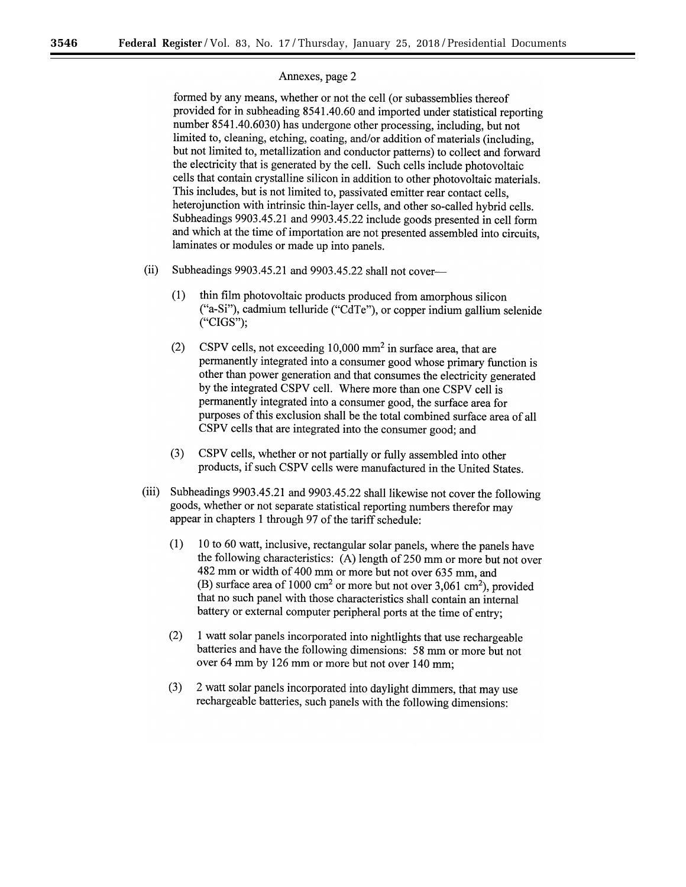formed by any means, whether or not the cell (or subassemblies thereof provided for in subheading 8541.40.60 and imported under statistical reporting number 8541.40.6030) has undergone other processing, including, but not limited to, cleaning, etching, coating, and/or addition of materials (including, but not limited to, metallization and conductor patterns) to collect and forward the electricity that is generated by the cell. Such cells include photovoltaic cells that contain crystalline silicon in addition to other photovoltaic materials. This includes, but is not limited to, passivated emitter rear contact cells, heterojunction with intrinsic thin-layer cells, and other so-called hybrid cells. Subheadings 9903.45.21 and 9903.45.22 include goods presented in cell form and which at the time of importation are not presented assembled into circuits, laminates or modules or made up into panels.

- (ii) Subheadings 9903.45.21 and 9903.45.22 shall not cover-
	- (1) thin film photovoltaic products produced from amorphous silicon ("a-Si"), cadmium telluride ("CdTe"), or copper indium gallium selenide ("CIGS");
	- $(2)$  CSPV cells, not exceeding 10,000 mm<sup>2</sup> in surface area, that are permanently integrated into a consumer good whose primary function is other than power generation and that consumes the electricity generated by the integrated CSPV cell. Where more than one CSPV cell is permanently integrated into a consumer good, the surface area for purposes of this exclusion shall be the total combined surface area of all CSPV cells that are integrated into the consumer good; and
	- (3) CSPV cells, whether or not partially or fully assembled into other products, if such CSPV cells were manufactured in the United States.
- (iii) Subheadings 9903.45.21 and 9903.45.22 shall likewise not cover the following goods, whether or not separate statistical reporting numbers therefor may appear in chapters 1 through 97 of the tariff schedule:
	- $(1)$  10 to 60 watt, inclusive, rectangular solar panels, where the panels have the following characteristics:  $(A)$  length of 250 mm or more but not over 482 mm or width of 400 mm or more but not over 635 mm, and (B) surface area of 1000 cm<sup>2</sup> or more but not over 3,061 cm<sup>2</sup>), provided that no such panel with those characteristics shall contain an internal battery or external computer peripheral ports at the time of entry;
	- (2) 1 watt solar panels incorporated into nightlights that use rechargeable batteries and have the following dimensions: 58 mm or more but not over 64 mm by 126 mm or more but not over 140 mm;
	- (3) 2 watt solar panels incorporated into daylight dimmers, that may use rechargeable batteries, such panels with the following dimensions: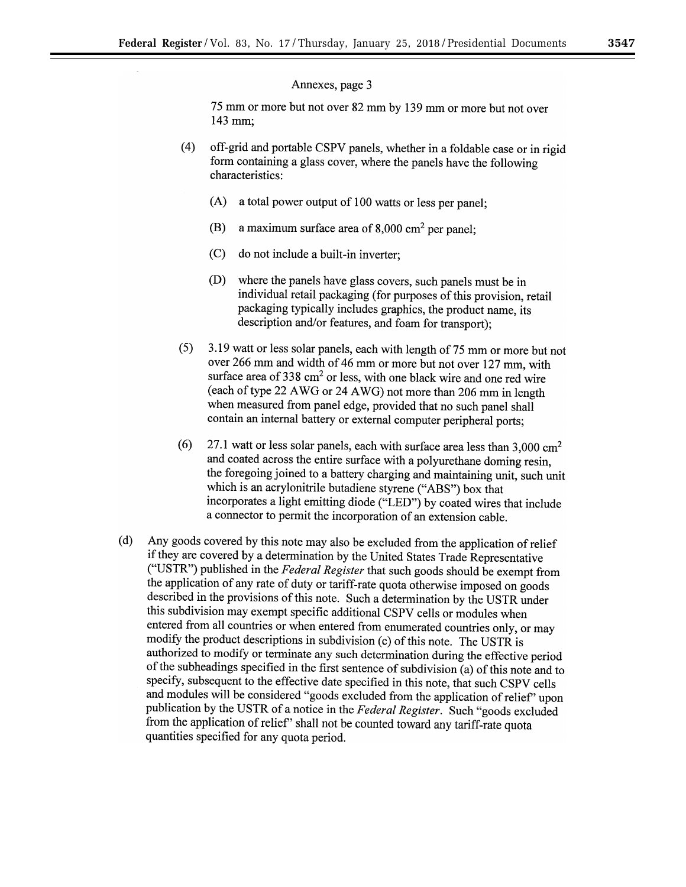75 mm or more but not over 82 mm by 139 mm or more but not over 143 mm;

- (4) off-grid and portable CSPV panels, whether in a foldable case or in rigid form containing a glass cover, where the panels have the following characteristics:
	- (A) a total power output of 100 watts or less per panel;
	- (B) a maximum surface area of  $8,000 \text{ cm}^2$  per panel;
	- (C) do not include a built-in inverter;
	- (D) where the panels have glass covers, such panels must be in individual retail packaging (for purposes of this provision, retail packaging typically includes graphics, the product name, its description and/or features, and foam for transport);
- (5) 3.19 watt or less solar panels, each with length of75 mm or more but not over 266 mm and width of 46 mm or more but not over 127 mm, with surface area of  $338 \text{ cm}^2$  or less, with one black wire and one red wire (each of type 22 A WG or 24 AWG) not more than 206 mm in length when measured from panel edge, provided that no such panel shall contain an internal battery or external computer peripheral ports;
- $(6)$  27.1 watt or less solar panels, each with surface area less than 3,000 cm<sup>2</sup> and coated across the entire surface with a polyurethane doming resin, the foregoing joined to a battery charging and maintaining unit, such unit which is an acrylonitrile butadiene styrene ("ABS") box that incorporates a light emitting diode ("LED") by coated wires that include a connector to permit the incorporation of an extension cable.
- (d) Any goods covered by this note may also be excluded from the application of relief if they are covered by a determination by the United States Trade Representative ("USTR") published in the *Federal Register* that such goods should be exempt from the application of any rate of duty or tariff-rate quota otherwise imposed on goods described in the provisions of this note. Such a determination by the USTR under this subdivision may exempt specific additional CSPV cells or modules when entered from all countries or when entered from enumerated countries only, or may modify the product descriptions in subdivision (c) of this note. The USTR is authorized to modify or terminate any such determination during the effective period of the subheadings specified in the first sentence of subdivision (a) of this note and to specify, subsequent to the effective date specified in this note, that such CSPV cells and modules will be considered "goods excluded from the application of relief' upon publication by the USTR of a notice in the *Federal Register.* Such "goods excluded from the application of relief' shall not be counted toward any tariff-rate quota quantities specified for any quota period.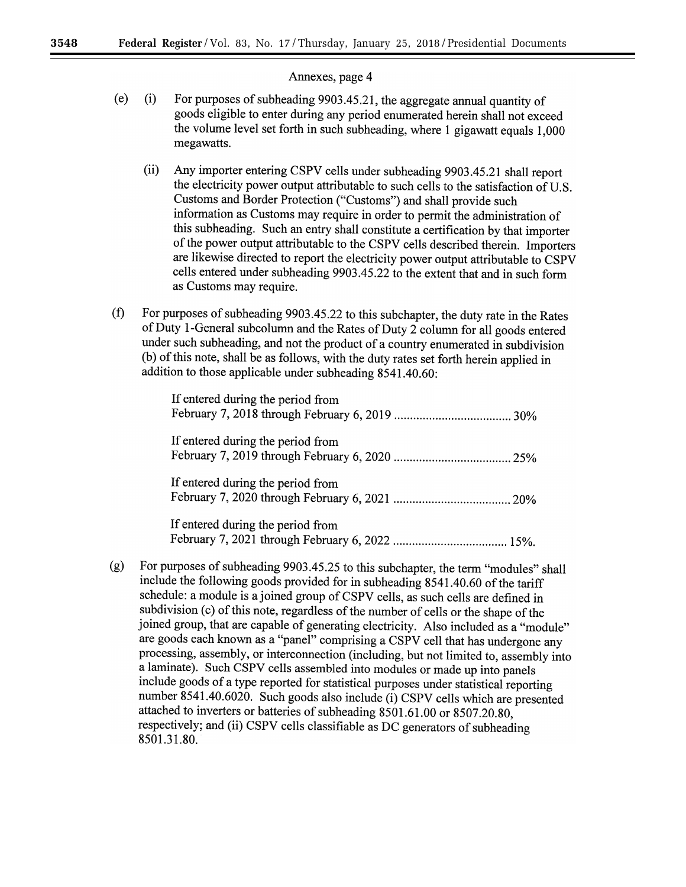- (e) (i) For purposes of subheading 9903.45.21, the aggregate annual quantity of goods eligible to enter during any period enumerated herein shall not exceed the volume level set forth in such subheading, where 1 gigawatt equals 1,000 megawatts.
	- (ii) Any importer entering CSPV cells under subheading 9903.45.21 shall report the electricity power output attributable to such cells to the satisfaction of U.S. Customs and Border Protection ("Customs") and shall provide such information as Customs may require in order to permit the administration of this subheading. Such an entry shall constitute a certification by that importer of the power output attributable to the CSPV cells described therein. Importers are likewise directed to report the electricity power output attributable to CSPV cells entered under subheading 9903.45.22 to the extent that and in such form as Customs may require.
- (f) For purposes of subheading 9903.45.22 to this subchapter, the duty rate in the Rates of Duty !-General subcolumn and the Rates of Duty 2 column for all goods entered under such subheading, and not the product of a country enumerated in subdivision (b) of this note, shall be as follows, with the duty rates set forth herein applied in addition to those applicable under subheading 8541.40.60:

| If entered during the period from |  |
|-----------------------------------|--|
| If entered during the period from |  |
| If entered during the period from |  |
| If entered during the period from |  |

February 7, 2021 through February 6, 2022 .................................... 15%.

(g) For purposes of subheading 9903.45.25 to this subchapter, the term "modules" shall include the following goods provided for in subheading 8541.40.60 of the tariff schedule: a module is a joined group of CSPV cells, as such cells are defined in subdivision (c) of this note, regardless of the number of cells or the shape of the joined group, that are capable of generating electricity. Also included as a "module" are goods each known as a "panel" comprising a CSPV cell that has undergone any processing, assembly, or interconnection (including, but not limited to, assembly into a laminate). Such CSPV cells assembled into modules or made up into panels include goods of a type reported for statistical purposes under statistical reporting number 8541.40.6020. Such goods also include (i) CSPV cells which are presented attached to inverters or batteries of subheading 8501.61.00 or 8507.20.80, respectively; and (ii) CSPV cells classifiable as DC generators of subheading 8501.31.80.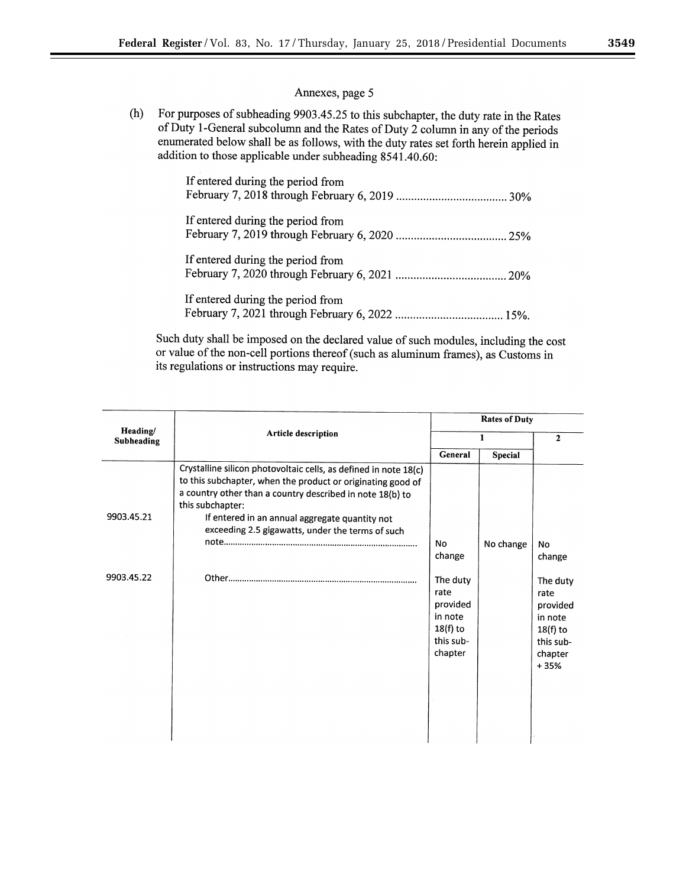۰

## Annexes, page 5

(h) For purposes of subheading 9903.45.25 to this subchapter, the duty rate in the Rates of Duty 1-General subcolurnn and the Rates of Duty 2 column in any of the periods enumerated below shall be as follows, with the duty rates set forth herein applied in addition to those applicable under subheading 8541.40.60:

| If entered during the period from |
|-----------------------------------|
| If entered during the period from |
| If entered during the period from |
| If entered during the period from |

Such duty shall be imposed on the declared value of such modules, including the cost or value of the non-cell portions thereof (such as aluminum frames), as Customs in its regulations or instructions may require.

| Heading/<br>Subheading | Article description                                                                                                                                                                                                                                                                                                    | <b>Rates of Duty</b>                                                          |                |                                                                                         |
|------------------------|------------------------------------------------------------------------------------------------------------------------------------------------------------------------------------------------------------------------------------------------------------------------------------------------------------------------|-------------------------------------------------------------------------------|----------------|-----------------------------------------------------------------------------------------|
|                        |                                                                                                                                                                                                                                                                                                                        | 1                                                                             |                | $\mathbf{2}$                                                                            |
|                        |                                                                                                                                                                                                                                                                                                                        | General                                                                       | <b>Special</b> |                                                                                         |
| 9903.45.21             | Crystalline silicon photovoltaic cells, as defined in note 18(c)<br>to this subchapter, when the product or originating good of<br>a country other than a country described in note 18(b) to<br>this subchapter:<br>If entered in an annual aggregate quantity not<br>exceeding 2.5 gigawatts, under the terms of such | No<br>change                                                                  | No change      | No<br>change                                                                            |
| 9903.45.22             |                                                                                                                                                                                                                                                                                                                        | The duty<br>rate<br>provided<br>in note<br>$18(f)$ to<br>this sub-<br>chapter |                | The duty<br>rate<br>provided<br>in note<br>$18(f)$ to<br>this sub-<br>chapter<br>$+35%$ |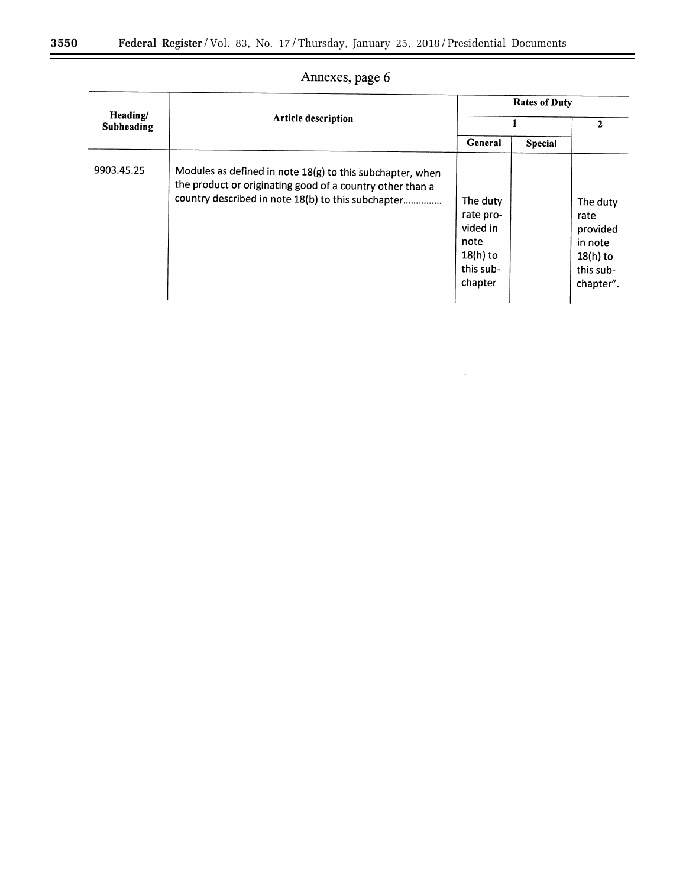| Heading/<br>Subheading | <b>Article description</b>                                                                                                                                                   | <b>Rates of Duty</b>                                                            |                |                                                                                 |
|------------------------|------------------------------------------------------------------------------------------------------------------------------------------------------------------------------|---------------------------------------------------------------------------------|----------------|---------------------------------------------------------------------------------|
|                        |                                                                                                                                                                              |                                                                                 |                | $\mathbf{2}$                                                                    |
|                        |                                                                                                                                                                              | General                                                                         | <b>Special</b> |                                                                                 |
| 9903.45.25             | Modules as defined in note 18(g) to this subchapter, when<br>the product or originating good of a country other than a<br>country described in note 18(b) to this subchapter | The duty<br>rate pro-<br>vided in<br>note<br>$18(h)$ to<br>this sub-<br>chapter |                | The duty<br>rate<br>provided<br>in note<br>$18(h)$ to<br>this sub-<br>chapter". |

 $\mathcal{L}^{\pm}$ 

# Annexes, page 6

۰